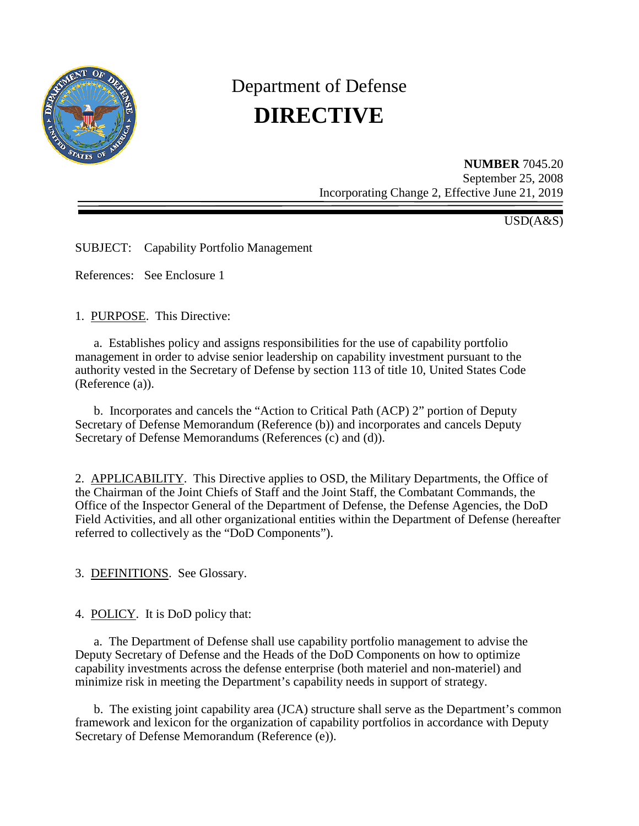

# Department of Defense **DIRECTIVE**

**NUMBER** 7045.20 September 25, 2008 Incorporating Change 2, Effective June 21, 2019

USD(A&S)

SUBJECT: Capability Portfolio Management

References: See Enclosure 1

1. PURPOSE. This Directive:

a. Establishes policy and assigns responsibilities for the use of capability portfolio management in order to advise senior leadership on capability investment pursuant to the authority vested in the Secretary of Defense by section 113 of title 10, United States Code (Reference (a)).

b. Incorporates and cancels the "Action to Critical Path (ACP) 2" portion of Deputy Secretary of Defense Memorandum (Reference (b)) and incorporates and cancels Deputy Secretary of Defense Memorandums (References (c) and (d)).

2. APPLICABILITY. This Directive applies to OSD, the Military Departments, the Office of the Chairman of the Joint Chiefs of Staff and the Joint Staff, the Combatant Commands, the Office of the Inspector General of the Department of Defense, the Defense Agencies, the DoD Field Activities, and all other organizational entities within the Department of Defense (hereafter referred to collectively as the "DoD Components").

3. DEFINITIONS. See Glossary.

4. POLICY. It is DoD policy that:

 a. The Department of Defense shall use capability portfolio management to advise the Deputy Secretary of Defense and the Heads of the DoD Components on how to optimize capability investments across the defense enterprise (both materiel and non-materiel) and minimize risk in meeting the Department's capability needs in support of strategy.

 b. The existing joint capability area (JCA) structure shall serve as the Department's common framework and lexicon for the organization of capability portfolios in accordance with Deputy Secretary of Defense Memorandum (Reference (e)).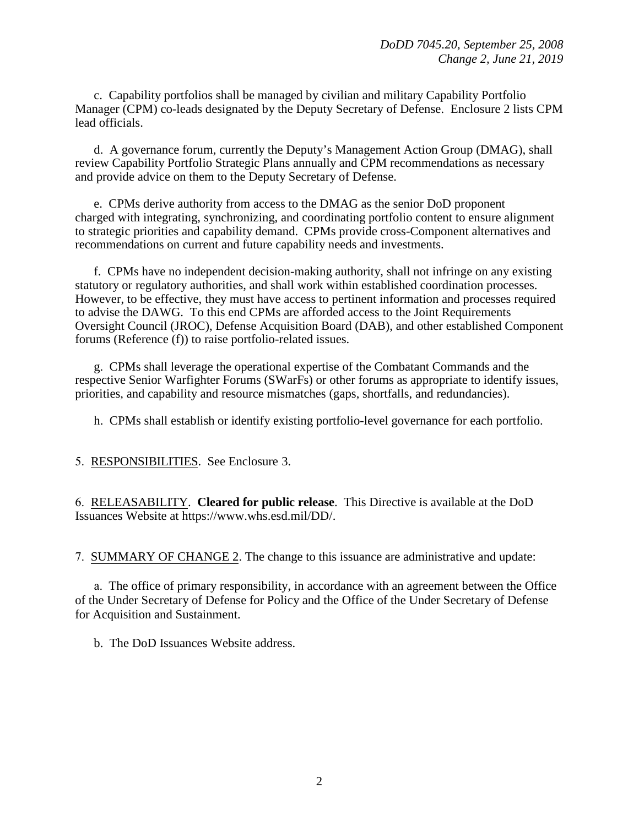c. Capability portfolios shall be managed by civilian and military Capability Portfolio Manager (CPM) co-leads designated by the Deputy Secretary of Defense. Enclosure 2 lists CPM lead officials.

d. A governance forum, currently the Deputy's Management Action Group (DMAG), shall review Capability Portfolio Strategic Plans annually and CPM recommendations as necessary and provide advice on them to the Deputy Secretary of Defense.

e. CPMs derive authority from access to the DMAG as the senior DoD proponent charged with integrating, synchronizing, and coordinating portfolio content to ensure alignment to strategic priorities and capability demand. CPMs provide cross-Component alternatives and recommendations on current and future capability needs and investments.

f. CPMs have no independent decision-making authority, shall not infringe on any existing statutory or regulatory authorities, and shall work within established coordination processes. However, to be effective, they must have access to pertinent information and processes required to advise the DAWG. To this end CPMs are afforded access to the Joint Requirements Oversight Council (JROC), Defense Acquisition Board (DAB), and other established Component forums (Reference (f)) to raise portfolio-related issues.

g. CPMs shall leverage the operational expertise of the Combatant Commands and the respective Senior Warfighter Forums (SWarFs) or other forums as appropriate to identify issues, priorities, and capability and resource mismatches (gaps, shortfalls, and redundancies).

h. CPMs shall establish or identify existing portfolio-level governance for each portfolio.

5. RESPONSIBILITIES. See Enclosure 3.

6. RELEASABILITY. **Cleared for public release**. This Directive is available at the DoD Issuances Website at https://www.whs.esd.mil/DD/.

7. SUMMARY OF CHANGE 2. The change to this issuance are administrative and update:

a. The office of primary responsibility, in accordance with an agreement between the Office of the Under Secretary of Defense for Policy and the Office of the Under Secretary of Defense for Acquisition and Sustainment.

b. The DoD Issuances Website address.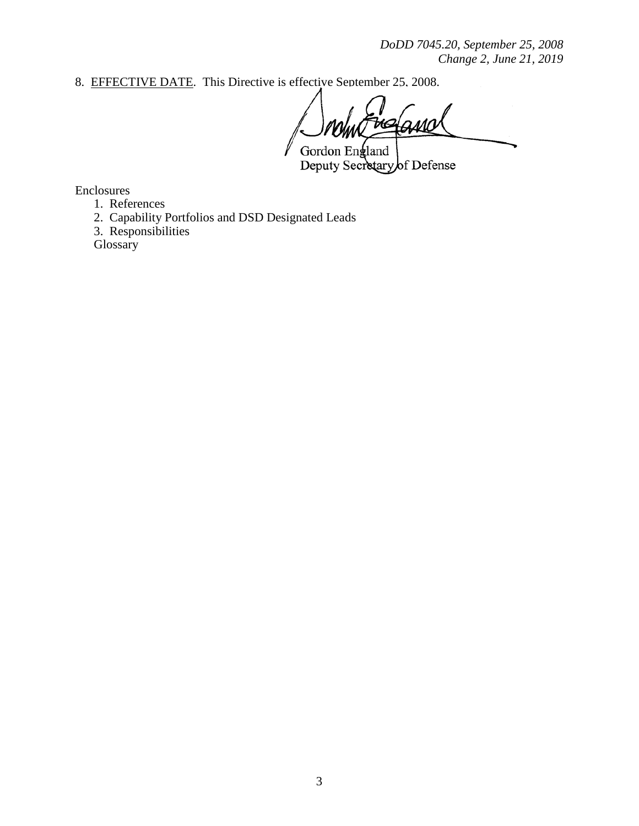*DoDD 7045.20, September 25, 2008 Change 2, June 21, 2019* 

8. EFFECTIVE DATE. This Directive is effective September 25, 2008.

K

Gordon England Deputy Secretary of Defense

Enclosures

- 1. References
- 2. Capability Portfolios and DSD Designated Leads
- 3. Responsibilities

**Glossary**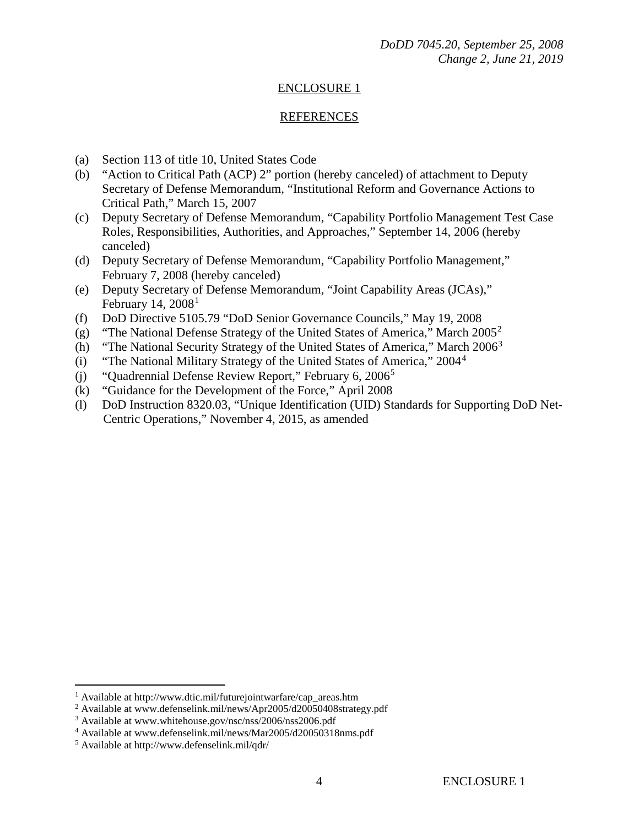# ENCLOSURE 1

#### REFERENCES

- (a) Section 113 of title 10, United States Code
- (b) "Action to Critical Path (ACP) 2" portion (hereby canceled) of attachment to Deputy Secretary of Defense Memorandum, "Institutional Reform and Governance Actions to Critical Path," March 15, 2007
- (c) Deputy Secretary of Defense Memorandum, "Capability Portfolio Management Test Case Roles, Responsibilities, Authorities, and Approaches," September 14, 2006 (hereby canceled)
- (d) Deputy Secretary of Defense Memorandum, "Capability Portfolio Management," February 7, 2008 (hereby canceled)
- (e) Deputy Secretary of Defense Memorandum, "Joint Capability Areas (JCAs)," February [1](#page-3-0)4,  $2008<sup>1</sup>$
- (f) DoD Directive 5105.79 "DoD Senior Governance Councils," May 19, 2008
- (g) "The National Defense Strategy of the United States of America," March  $2005^2$  $2005^2$
- (h) "The National Security Strategy of the United States of America," March 2006[3](#page-3-2)
- (i) "The National Military Strategy of the United States of America,"  $2004<sup>4</sup>$  $2004<sup>4</sup>$  $2004<sup>4</sup>$
- (j) "Quadrennial Defense Review Report," February 6,  $2006<sup>5</sup>$  $2006<sup>5</sup>$  $2006<sup>5</sup>$
- (k) "Guidance for the Development of the Force," April 2008
- (l) DoD Instruction 8320.03, "Unique Identification (UID) Standards for Supporting DoD Net-Centric Operations," November 4, 2015, as amended

 $\overline{a}$ 

<span id="page-3-0"></span><sup>1</sup> Available at http://www.dtic.mil/futurejointwarfare/cap\_areas.htm

<sup>&</sup>lt;sup>2</sup> Available at www.defenselink.mil/news/Apr2005/d20050408strategy.pdf

<span id="page-3-3"></span><span id="page-3-2"></span><span id="page-3-1"></span><sup>3</sup> Available at www.whitehouse.gov/nsc/nss/2006/nss2006.pdf

<sup>4</sup> Available at www.defenselink.mil/news/Mar2005/d20050318nms.pdf

<span id="page-3-4"></span><sup>5</sup> Available at http://www.defenselink.mil/qdr/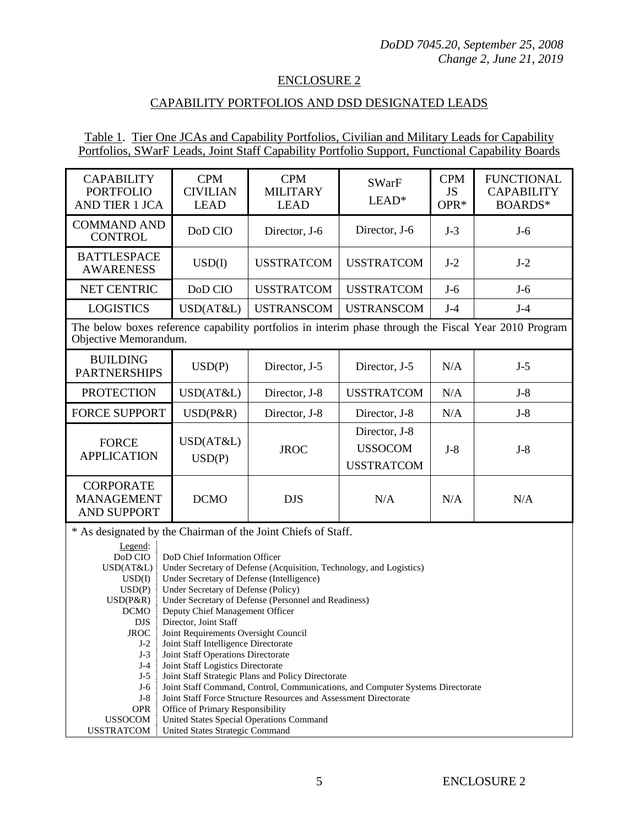## ENCLOSURE 2

# CAPABILITY PORTFOLIOS AND DSD DESIGNATED LEADS

## Table 1. Tier One JCAs and Capability Portfolios, Civilian and Military Leads for Capability Portfolios, SWarF Leads, Joint Staff Capability Portfolio Support, Functional Capability Boards

| <b>CAPABILITY</b><br><b>PORTFOLIO</b><br>AND TIER 1 JCA                                                                                                                                                                                                                                                                                                                                                                                                                                                                                                                                                                                                                                                                                                                                                                                                                                                                                                                                                                                                                                              | <b>CPM</b><br><b>CIVILIAN</b><br><b>LEAD</b> | <b>CPM</b><br><b>MILITARY</b><br><b>LEAD</b> | <b>SWarF</b><br>$LEAD*$                              | <b>CPM</b><br><b>JS</b><br>OPR* | <b>FUNCTIONAL</b><br><b>CAPABILITY</b><br>BOARDS* |
|------------------------------------------------------------------------------------------------------------------------------------------------------------------------------------------------------------------------------------------------------------------------------------------------------------------------------------------------------------------------------------------------------------------------------------------------------------------------------------------------------------------------------------------------------------------------------------------------------------------------------------------------------------------------------------------------------------------------------------------------------------------------------------------------------------------------------------------------------------------------------------------------------------------------------------------------------------------------------------------------------------------------------------------------------------------------------------------------------|----------------------------------------------|----------------------------------------------|------------------------------------------------------|---------------------------------|---------------------------------------------------|
| <b>COMMAND AND</b><br><b>CONTROL</b>                                                                                                                                                                                                                                                                                                                                                                                                                                                                                                                                                                                                                                                                                                                                                                                                                                                                                                                                                                                                                                                                 | DoD CIO                                      | Director, J-6                                | Director, J-6                                        | $J-3$                           | $J-6$                                             |
| <b>BATTLESPACE</b><br><b>AWARENESS</b>                                                                                                                                                                                                                                                                                                                                                                                                                                                                                                                                                                                                                                                                                                                                                                                                                                                                                                                                                                                                                                                               | USD(I)                                       | <b>USSTRATCOM</b>                            | <b>USSTRATCOM</b>                                    | $J-2$                           | $J-2$                                             |
| <b>NET CENTRIC</b>                                                                                                                                                                                                                                                                                                                                                                                                                                                                                                                                                                                                                                                                                                                                                                                                                                                                                                                                                                                                                                                                                   | DoD CIO                                      | <b>USSTRATCOM</b>                            | <b>USSTRATCOM</b>                                    | $J-6$                           | $J-6$                                             |
| <b>LOGISTICS</b>                                                                                                                                                                                                                                                                                                                                                                                                                                                                                                                                                                                                                                                                                                                                                                                                                                                                                                                                                                                                                                                                                     | USD(AT&L)                                    | <b>USTRANSCOM</b>                            | <b>USTRANSCOM</b>                                    | $J-4$                           | $J-4$                                             |
| The below boxes reference capability portfolios in interim phase through the Fiscal Year 2010 Program<br>Objective Memorandum.                                                                                                                                                                                                                                                                                                                                                                                                                                                                                                                                                                                                                                                                                                                                                                                                                                                                                                                                                                       |                                              |                                              |                                                      |                                 |                                                   |
| <b>BUILDING</b><br><b>PARTNERSHIPS</b>                                                                                                                                                                                                                                                                                                                                                                                                                                                                                                                                                                                                                                                                                                                                                                                                                                                                                                                                                                                                                                                               | USD(P)                                       | Director, J-5                                | Director, J-5                                        | N/A                             | $J-5$                                             |
| <b>PROTECTION</b>                                                                                                                                                                                                                                                                                                                                                                                                                                                                                                                                                                                                                                                                                                                                                                                                                                                                                                                                                                                                                                                                                    | USD(AT&L)                                    | Director, J-8                                | <b>USSTRATCOM</b>                                    | N/A                             | $J-8$                                             |
| <b>FORCE SUPPORT</b>                                                                                                                                                                                                                                                                                                                                                                                                                                                                                                                                                                                                                                                                                                                                                                                                                                                                                                                                                                                                                                                                                 | $USD(P\&R)$                                  | Director, J-8                                | Director, J-8                                        | N/A                             | $J-8$                                             |
| <b>FORCE</b><br><b>APPLICATION</b>                                                                                                                                                                                                                                                                                                                                                                                                                                                                                                                                                                                                                                                                                                                                                                                                                                                                                                                                                                                                                                                                   | USD(AT&L)<br>USD(P)                          | <b>JROC</b>                                  | Director, J-8<br><b>USSOCOM</b><br><b>USSTRATCOM</b> | $J-8$                           | $J-8$                                             |
| <b>CORPORATE</b><br><b>MANAGEMENT</b><br><b>AND SUPPORT</b>                                                                                                                                                                                                                                                                                                                                                                                                                                                                                                                                                                                                                                                                                                                                                                                                                                                                                                                                                                                                                                          | <b>DCMO</b>                                  | <b>DJS</b>                                   | N/A                                                  | N/A                             | N/A                                               |
| * As designated by the Chairman of the Joint Chiefs of Staff.<br>Legend:<br>DoD CIO<br>DoD Chief Information Officer<br>USD(AT&L)<br>Under Secretary of Defense (Acquisition, Technology, and Logistics)<br>Under Secretary of Defense (Intelligence)<br>USD(I)<br>Under Secretary of Defense (Policy)<br>USD(P)<br>Under Secretary of Defense (Personnel and Readiness)<br>$USD(P\&R)$<br><b>DCMO</b><br>Deputy Chief Management Officer<br>Director, Joint Staff<br><b>DJS</b><br>Joint Requirements Oversight Council<br><b>JROC</b><br>Joint Staff Intelligence Directorate<br>$J-2$<br>$J-3$<br>Joint Staff Operations Directorate<br>$J-4$<br>Joint Staff Logistics Directorate<br>$J-5$<br>Joint Staff Strategic Plans and Policy Directorate<br>$J-6$<br>Joint Staff Command, Control, Communications, and Computer Systems Directorate<br>$J-8$<br>Joint Staff Force Structure Resources and Assessment Directorate<br><b>OPR</b><br>Office of Primary Responsibility<br><b>USSOCOM</b><br>United States Special Operations Command<br><b>USSTRATCOM</b><br>United States Strategic Command |                                              |                                              |                                                      |                                 |                                                   |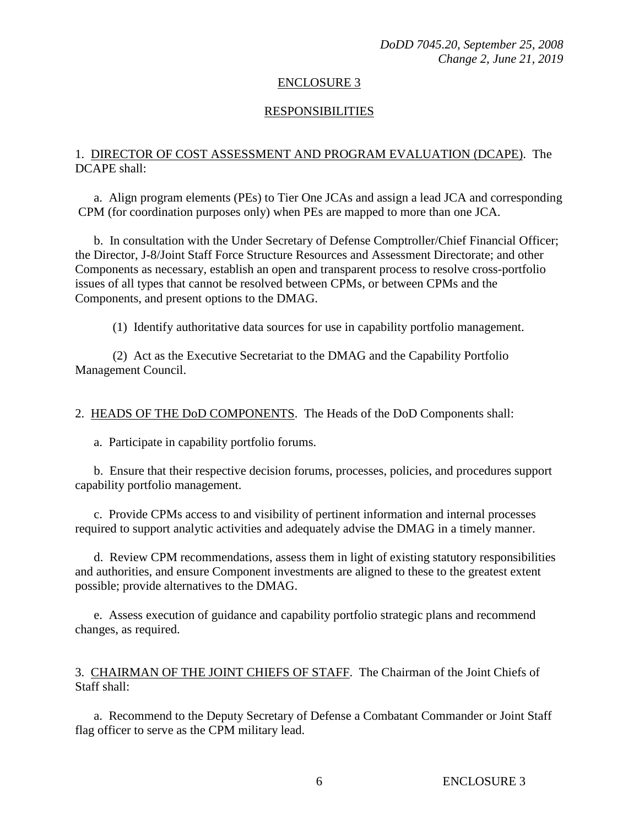#### ENCLOSURE 3

#### RESPONSIBILITIES

## 1. DIRECTOR OF COST ASSESSMENT AND PROGRAM EVALUATION (DCAPE). The DCAPE shall:

a. Align program elements (PEs) to Tier One JCAs and assign a lead JCA and corresponding CPM (for coordination purposes only) when PEs are mapped to more than one JCA.

 b. In consultation with the Under Secretary of Defense Comptroller/Chief Financial Officer; the Director, J-8/Joint Staff Force Structure Resources and Assessment Directorate; and other Components as necessary, establish an open and transparent process to resolve cross-portfolio issues of all types that cannot be resolved between CPMs, or between CPMs and the Components, and present options to the DMAG.

(1) Identify authoritative data sources for use in capability portfolio management.

 (2) Act as the Executive Secretariat to the DMAG and the Capability Portfolio Management Council.

2. HEADS OF THE DoD COMPONENTS. The Heads of the DoD Components shall:

a. Participate in capability portfolio forums.

 b. Ensure that their respective decision forums, processes, policies, and procedures support capability portfolio management.

c. Provide CPMs access to and visibility of pertinent information and internal processes required to support analytic activities and adequately advise the DMAG in a timely manner.

 d. Review CPM recommendations, assess them in light of existing statutory responsibilities and authorities, and ensure Component investments are aligned to these to the greatest extent possible; provide alternatives to the DMAG.

e. Assess execution of guidance and capability portfolio strategic plans and recommend changes, as required.

3. CHAIRMAN OF THE JOINT CHIEFS OF STAFF. The Chairman of the Joint Chiefs of Staff shall:

a. Recommend to the Deputy Secretary of Defense a Combatant Commander or Joint Staff flag officer to serve as the CPM military lead.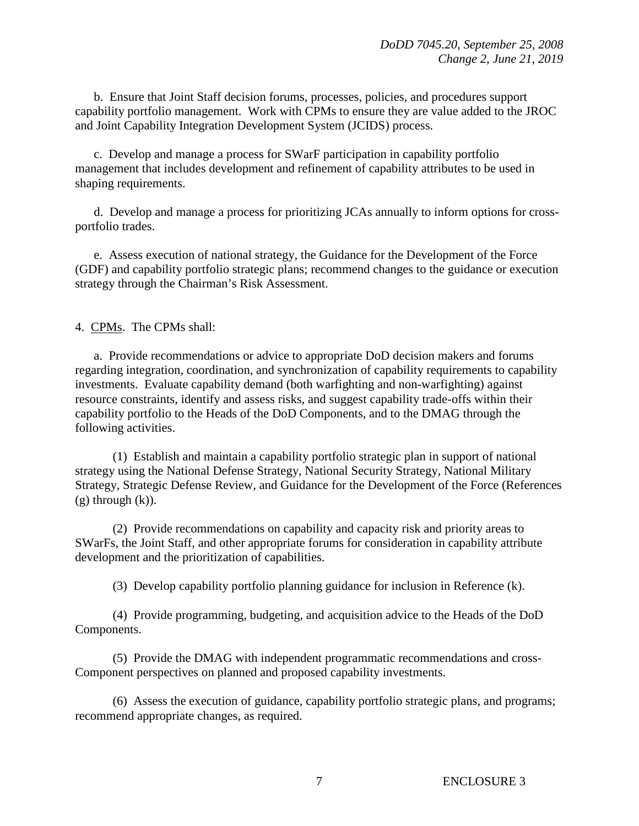b. Ensure that Joint Staff decision forums, processes, policies, and procedures support capability portfolio management. Work with CPMs to ensure they are value added to the JROC and Joint Capability Integration Development System (JCIDS) process.

 c. Develop and manage a process for SWarF participation in capability portfolio management that includes development and refinement of capability attributes to be used in shaping requirements.

 d. Develop and manage a process for prioritizing JCAs annually to inform options for crossportfolio trades.

e. Assess execution of national strategy, the Guidance for the Development of the Force (GDF) and capability portfolio strategic plans; recommend changes to the guidance or execution strategy through the Chairman's Risk Assessment.

4. CPMs. The CPMs shall:

 a. Provide recommendations or advice to appropriate DoD decision makers and forums regarding integration, coordination, and synchronization of capability requirements to capability investments. Evaluate capability demand (both warfighting and non-warfighting) against resource constraints, identify and assess risks, and suggest capability trade-offs within their capability portfolio to the Heads of the DoD Components, and to the DMAG through the following activities.

 (1) Establish and maintain a capability portfolio strategic plan in support of national strategy using the National Defense Strategy, National Security Strategy, National Military Strategy, Strategic Defense Review, and Guidance for the Development of the Force (References  $(g)$  through  $(k)$ ).

 (2) Provide recommendations on capability and capacity risk and priority areas to SWarFs, the Joint Staff, and other appropriate forums for consideration in capability attribute development and the prioritization of capabilities.

(3) Develop capability portfolio planning guidance for inclusion in Reference (k).

 (4) Provide programming, budgeting, and acquisition advice to the Heads of the DoD Components.

 (5) Provide the DMAG with independent programmatic recommendations and cross-Component perspectives on planned and proposed capability investments.

 (6) Assess the execution of guidance, capability portfolio strategic plans, and programs; recommend appropriate changes, as required.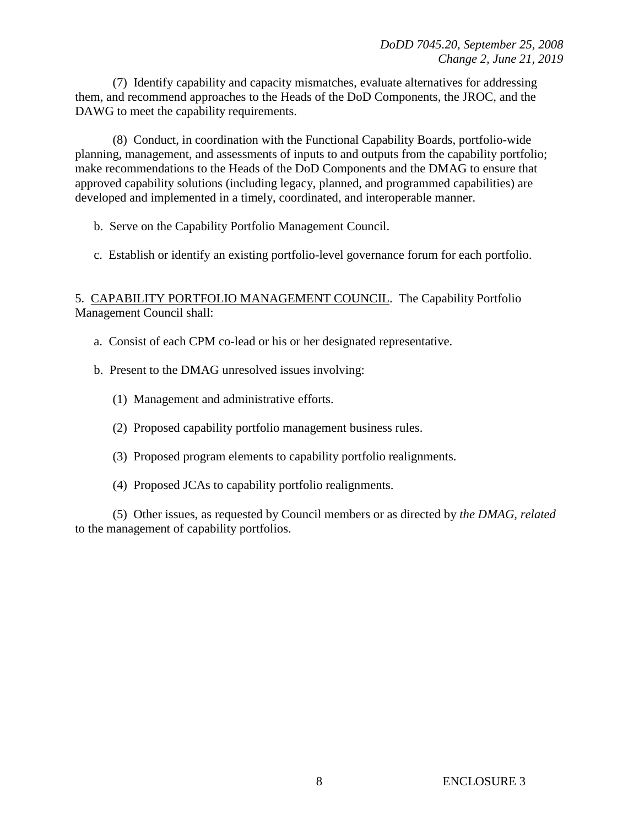(7) Identify capability and capacity mismatches, evaluate alternatives for addressing them, and recommend approaches to the Heads of the DoD Components, the JROC, and the DAWG to meet the capability requirements.

 (8) Conduct, in coordination with the Functional Capability Boards, portfolio-wide planning, management, and assessments of inputs to and outputs from the capability portfolio; make recommendations to the Heads of the DoD Components and the DMAG to ensure that approved capability solutions (including legacy, planned, and programmed capabilities) are developed and implemented in a timely, coordinated, and interoperable manner.

- b. Serve on the Capability Portfolio Management Council.
- c. Establish or identify an existing portfolio-level governance forum for each portfolio.

# 5. CAPABILITY PORTFOLIO MANAGEMENT COUNCIL. The Capability Portfolio Management Council shall:

- a. Consist of each CPM co-lead or his or her designated representative.
- b. Present to the DMAG unresolved issues involving:
	- (1) Management and administrative efforts.
	- (2) Proposed capability portfolio management business rules.
	- (3) Proposed program elements to capability portfolio realignments.
	- (4) Proposed JCAs to capability portfolio realignments.

(5) Other issues, as requested by Council members or as directed by *the DMAG, related* to the management of capability portfolios.